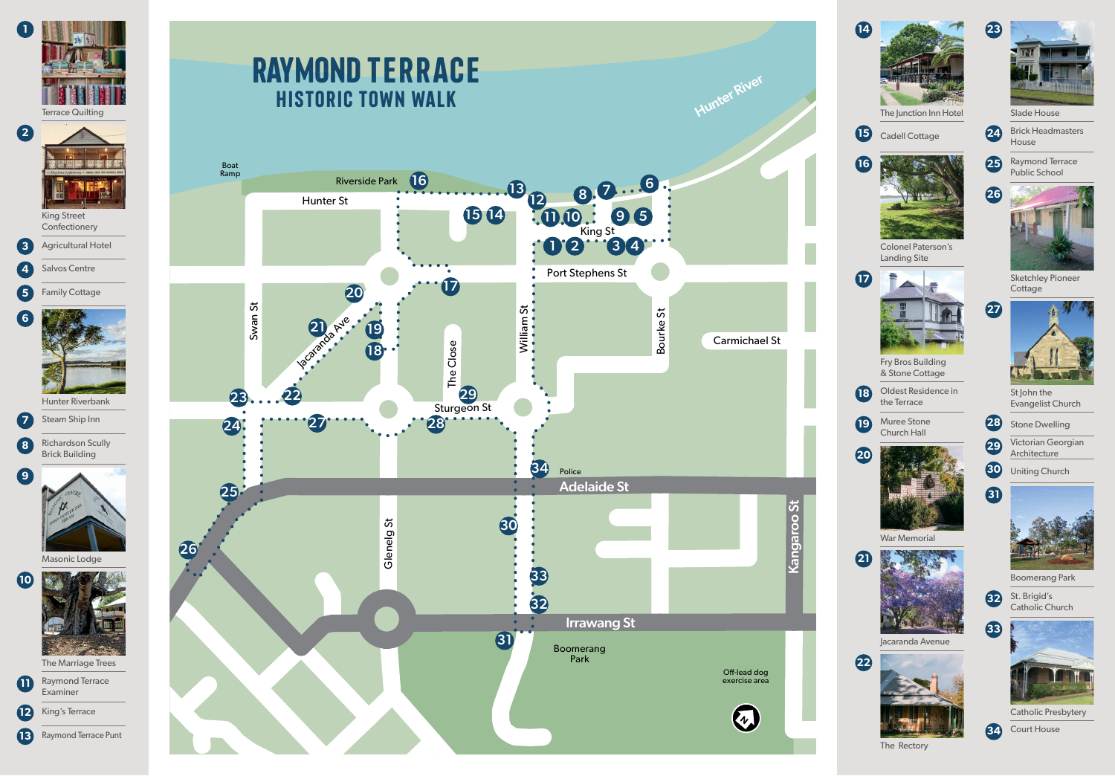

Hunter Rive

## RAYMOND TERRACE HISTORIC TOWN WALK





**Confectionery** 

**3** Agricultural Hotel

**4** Salvos Centre





Hunter Riverbank

**7** Steam Ship Inn



**8** Richardson Scully Brick Building



Masonic Lodge



The Marriage Trees



**12** King's Terrace

**13** Raymond Terrace Punt